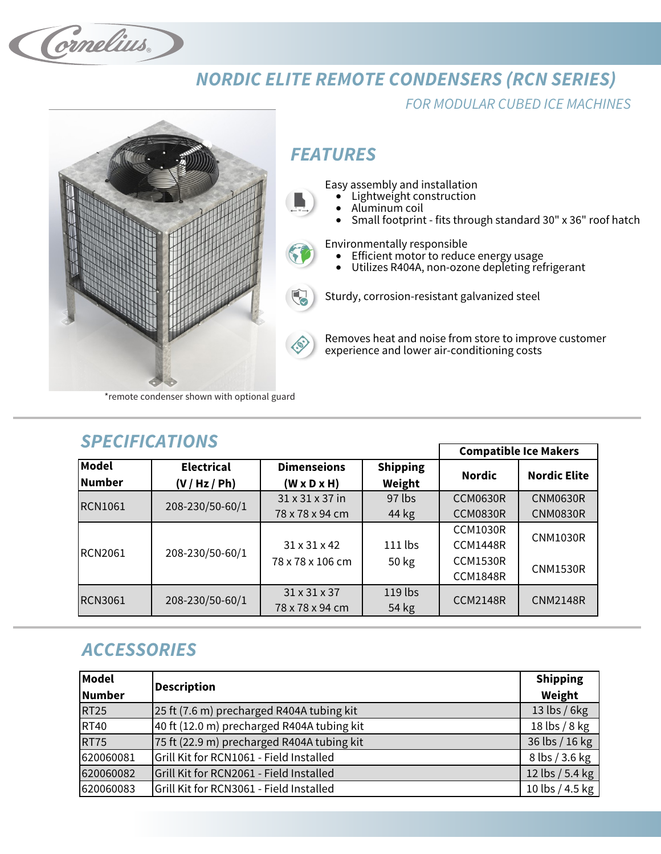Cornelius.

## **NORDIC ELITE REMOTE CONDENSERS (RCN SERIES)**

FOR MODULAR CUBED ICE MACHINES



# **FEATURES**

Easy assembly and installation

- Lightweight construction
- Aluminum coil
- Small footprint fits through standard 30" x 36" roof hatch

Environmentally responsible

- Efficient motor to reduce energy usage<br>• Utilizes R404A, non-ozone depleting ref
- Utilizes R404A, non-ozone depleting refrigerant

Sturdy, corrosion-resistant galvanized steel

Removes heat and noise from store to improve customer experience and lower air-conditioning costs

\*remote condenser shown with optional guard

| <b>SPECIFICATIONS</b> |                   |                              |                 |                 |                     |  |  |  |
|-----------------------|-------------------|------------------------------|-----------------|-----------------|---------------------|--|--|--|
|                       |                   | <b>Compatible Ice Makers</b> |                 |                 |                     |  |  |  |
| <b>Model</b>          | <b>Electrical</b> | <b>Dimenseions</b>           | <b>Shipping</b> |                 | <b>Nordic Elite</b> |  |  |  |
| <b>Number</b>         | (V / Hz / Ph)     | $(W \times D \times H)$      | Weight          | <b>Nordic</b>   |                     |  |  |  |
| <b>RCN1061</b>        | 208-230/50-60/1   | 31 x 31 x 37 in              | $97$ lbs        | <b>CCM0630R</b> | <b>CNM0630R</b>     |  |  |  |
|                       |                   | 78 x 78 x 94 cm              | 44 kg           | <b>CCM0830R</b> | <b>CNM0830R</b>     |  |  |  |
|                       |                   |                              |                 | <b>CCM1030R</b> | <b>CNM1030R</b>     |  |  |  |
| <b>RCN2061</b>        | 208-230/50-60/1   | $31 \times 31 \times 42$     | 111 lbs         | <b>CCM1448R</b> |                     |  |  |  |
|                       |                   | 78 x 78 x 106 cm             | 50 kg           | <b>CCM1530R</b> |                     |  |  |  |
|                       |                   |                              |                 | <b>CCM1848R</b> | <b>CNM1530R</b>     |  |  |  |
| <b>RCN3061</b>        |                   | $31 \times 31 \times 37$     | 119 lbs         | <b>CCM2148R</b> | <b>CNM2148R</b>     |  |  |  |
|                       | 208-230/50-60/1   | 78 x 78 x 94 cm              | 54 kg           |                 |                     |  |  |  |

## **ACCESSORIES**

| <b>Model</b>  |                                            | <b>Shipping</b> |
|---------------|--------------------------------------------|-----------------|
| <b>Number</b> | <b>Description</b>                         |                 |
| <b>RT25</b>   | 25 ft (7.6 m) precharged R404A tubing kit  | 13 lbs / $6kg$  |
| <b>RT40</b>   | 40 ft (12.0 m) precharged R404A tubing kit | 18 lbs $/ 8$ kg |
| <b>RT75</b>   | 75 ft (22.9 m) precharged R404A tubing kit | 36 lbs / 16 kg  |
| 620060081     | Grill Kit for RCN1061 - Field Installed    | 8 lbs / 3.6 kg  |
| 620060082     | Grill Kit for RCN2061 - Field Installed    | 12 lbs / 5.4 kg |
| 620060083     | Grill Kit for RCN3061 - Field Installed    | 10 lbs / 4.5 kg |